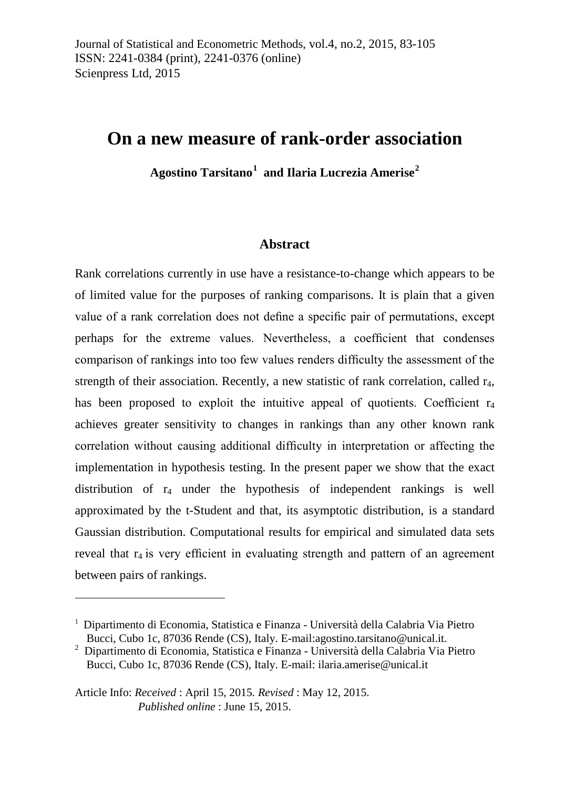# **On a new measure of rank-order association**

**Agostino Tarsitano[1](#page-0-0) and Ilaria Lucrezia Amerise[2](#page-0-1)**

#### **Abstract**

Rank correlations currently in use have a resistance-to-change which appears to be of limited value for the purposes of ranking comparisons. It is plain that a given value of a rank correlation does not define a specific pair of permutations, except perhaps for the extreme values. Nevertheless, a coefficient that condenses comparison of rankings into too few values renders difficulty the assessment of the strength of their association. Recently, a new statistic of rank correlation, called  $r_4$ , has been proposed to exploit the intuitive appeal of quotients. Coefficient  $r_4$ achieves greater sensitivity to changes in rankings than any other known rank correlation without causing additional difficulty in interpretation or affecting the implementation in hypothesis testing. In the present paper we show that the exact distribution of  $r_4$  under the hypothesis of independent rankings is well approximated by the t-Student and that, its asymptotic distribution, is a standard Gaussian distribution. Computational results for empirical and simulated data sets reveal that  $r_4$  is very efficient in evaluating strength and pattern of an agreement between pairs of rankings.

 $\overline{a}$ 

<span id="page-0-0"></span><sup>1</sup> Dipartimento di Economia, Statistica e Finanza - Università della Calabria Via Pietro Bucci, Cubo 1c, 87036 Rende (CS), Italy. E-mail:agostino.tarsitano@unical.it.

<span id="page-0-1"></span><sup>2</sup> Dipartimento di Economia, Statistica e Finanza - Università della Calabria Via Pietro Bucci, Cubo 1c, 87036 Rende (CS), Italy. E-mail: [ilaria.amerise@unical.it](mailto:ilaria.amerise@unical.it)

Article Info: *Received* : April 15, 2015*. Revised* : May 12, 2015. *Published online* : June 15, 2015.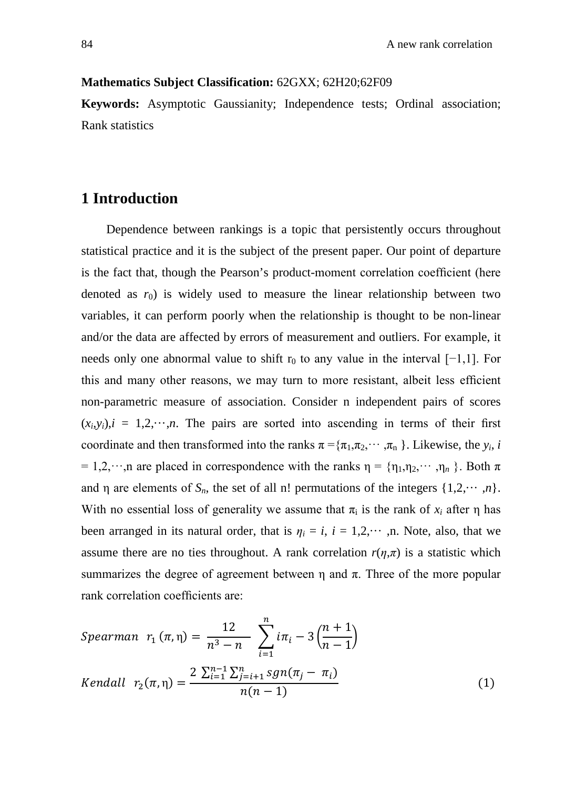#### **Mathematics Subject Classification:** 62GXX; 62H20;62F09

**Keywords:** Asymptotic Gaussianity; Independence tests; Ordinal association; Rank statistics

## **1 Introduction**

Dependence between rankings is a topic that persistently occurs throughout statistical practice and it is the subject of the present paper. Our point of departure is the fact that, though the Pearson's product-moment correlation coefficient (here denoted as  $r_0$ ) is widely used to measure the linear relationship between two variables, it can perform poorly when the relationship is thought to be non-linear and/or the data are affected by errors of measurement and outliers. For example, it needs only one abnormal value to shift r<sub>0</sub> to any value in the interval  $[-1,1]$ . For this and many other reasons, we may turn to more resistant, albeit less efficient non-parametric measure of association. Consider n independent pairs of scores  $(x_i, y_i)$ ,  $i = 1, 2, \dots, n$ . The pairs are sorted into ascending in terms of their first coordinate and then transformed into the ranks  $\pi = {\pi_1, \pi_2, \cdots, \pi_n}$ . Likewise, the *y<sub>i</sub>*, *i* = 1,2, ···, n are placed in correspondence with the ranks  $\eta = {\eta_1, \eta_2, \dots, \eta_n}$ . Both  $\pi$ and  $\eta$  are elements of  $S_n$ , the set of all n! permutations of the integers  $\{1,2,\dots,n\}$ . With no essential loss of generality we assume that  $\pi_i$  is the rank of  $x_i$  after  $\eta$  has been arranged in its natural order, that is  $\eta_i = i$ ,  $i = 1, 2, \dots$ , n. Note, also, that we assume there are no ties throughout. A rank correlation  $r(\eta,\pi)$  is a statistic which summarizes the degree of agreement between  $\eta$  and  $\pi$ . Three of the more popular rank correlation coefficients are:

Spearman 
$$
r_1(\pi, \eta) = \frac{12}{n^3 - n} \sum_{i=1}^n i\pi_i - 3\left(\frac{n+1}{n-1}\right)
$$
  
\nKendall  $r_2(\pi, \eta) = \frac{2 \sum_{i=1}^{n-1} \sum_{j=i+1}^{n} sgn(\pi_j - \pi_i)}{n(n-1)}$  (1)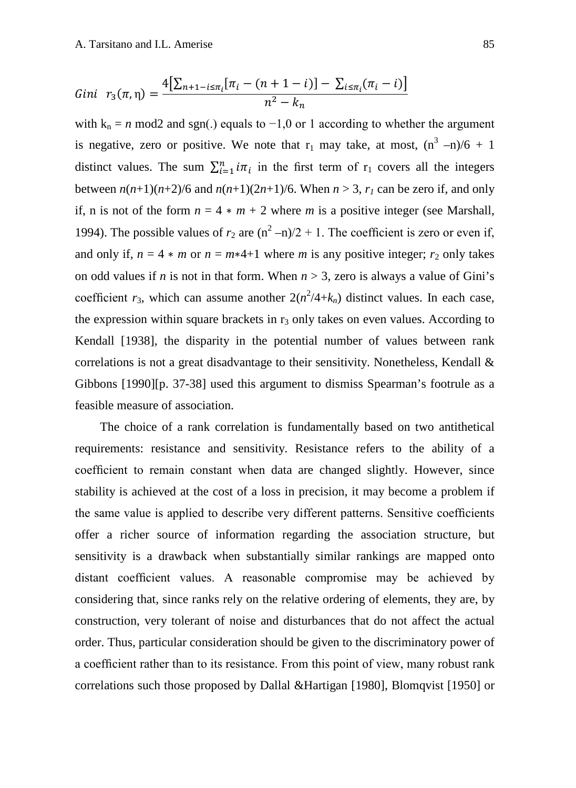Gini 
$$
r_3(\pi, \eta) = \frac{4[\sum_{n+1-i \leq \pi_i} [\pi_i - (n+1-i)] - \sum_{i \leq \pi_i} (\pi_i - i)]}{n^2 - k_n}
$$

with  $k_n = n \mod 2$  and sgn(.) equals to  $-1,0$  or 1 according to whether the argument is negative, zero or positive. We note that  $r_1$  may take, at most,  $(n^3 - n)/6 + 1$ distinct values. The sum  $\sum_{i=1}^{n} i\pi_i$  in the first term of  $r_1$  covers all the integers between  $n(n+1)(n+2)/6$  and  $n(n+1)(2n+1)/6$ . When  $n > 3$ ,  $r_1$  can be zero if, and only if, n is not of the form  $n = 4 * m + 2$  where m is a positive integer (see Marshall, 1994). The possible values of  $r_2$  are  $(n^2-n)/2 + 1$ . The coefficient is zero or even if, and only if,  $n = 4 * m$  or  $n = m*4+1$  where *m* is any positive integer;  $r_2$  only takes on odd values if *n* is not in that form. When  $n > 3$ , zero is always a value of Gini's coefficient  $r_3$ , which can assume another  $2(n^2/4+k_n)$  distinct values. In each case, the expression within square brackets in  $r_3$  only takes on even values. According to Kendall [1938], the disparity in the potential number of values between rank correlations is not a great disadvantage to their sensitivity. Nonetheless, Kendall & Gibbons [1990][p. 37-38] used this argument to dismiss Spearman's footrule as a feasible measure of association.

The choice of a rank correlation is fundamentally based on two antithetical requirements: resistance and sensitivity. Resistance refers to the ability of a coefficient to remain constant when data are changed slightly. However, since stability is achieved at the cost of a loss in precision, it may become a problem if the same value is applied to describe very different patterns. Sensitive coefficients offer a richer source of information regarding the association structure, but sensitivity is a drawback when substantially similar rankings are mapped onto distant coefficient values. A reasonable compromise may be achieved by considering that, since ranks rely on the relative ordering of elements, they are, by construction, very tolerant of noise and disturbances that do not affect the actual order. Thus, particular consideration should be given to the discriminatory power of a coefficient rather than to its resistance. From this point of view, many robust rank correlations such those proposed by Dallal &Hartigan [1980], Blomqvist [1950] or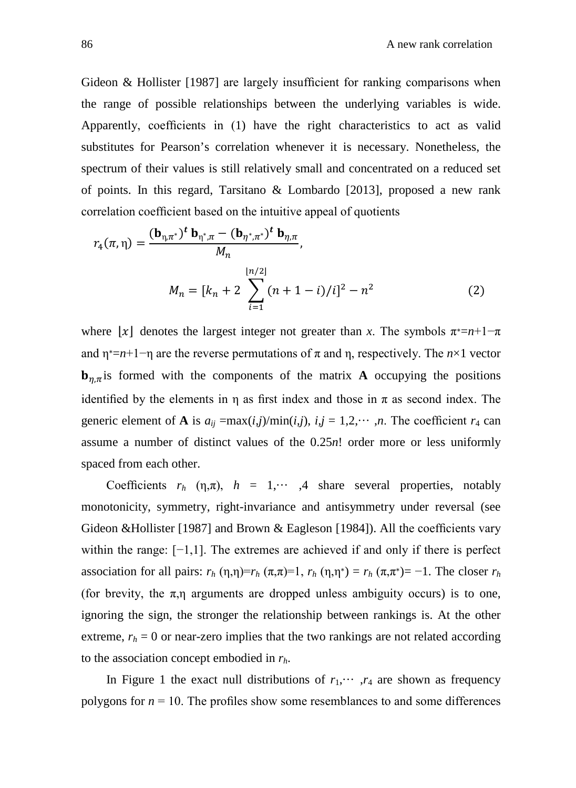Gideon & Hollister [1987] are largely insufficient for ranking comparisons when the range of possible relationships between the underlying variables is wide. Apparently, coefficients in (1) have the right characteristics to act as valid substitutes for Pearson's correlation whenever it is necessary. Nonetheless, the spectrum of their values is still relatively small and concentrated on a reduced set of points. In this regard, Tarsitano & Lombardo [2013], proposed a new rank correlation coefficient based on the intuitive appeal of quotients

$$
r_{4}(\pi,\eta) = \frac{(\mathbf{b}_{\eta,\pi^{*}})^{t} \mathbf{b}_{\eta^{*},\pi} - (\mathbf{b}_{\eta^{*},\pi^{*}})^{t} \mathbf{b}_{\eta,\pi}}{M_{n}},
$$
  

$$
M_{n} = [k_{n} + 2 \sum_{i=1}^{\lfloor n/2 \rfloor} (n+1-i)/i]^{2} - n^{2}
$$
 (2)

where [x] denotes the largest integer not greater than x. The symbols  $\pi^* = n+1-\pi$ and  $\eta^* = n+1-\eta$  are the reverse permutations of  $\pi$  and  $\eta$ , respectively. The  $n \times 1$  vector  **is formed with the components of the matrix <b>A** occupying the positions identified by the elements in  $\eta$  as first index and those in  $\pi$  as second index. The generic element of **A** is  $a_{ij} = \max(i,j)/\min(i,j)$ ,  $i,j = 1,2,\dots, n$ . The coefficient  $r_4$  can assume a number of distinct values of the 0.25*n*! order more or less uniformly spaced from each other.

Coefficients  $r_h$  (η,π),  $h = 1, \dots, 4$  share several properties, notably monotonicity, symmetry, right-invariance and antisymmetry under reversal (see Gideon &Hollister [1987] and Brown & Eagleson [1984]). All the coefficients vary within the range: [−1,1]. The extremes are achieved if and only if there is perfect association for all pairs:  $r_h(\eta, \eta) = r_h(\pi, \pi) = 1$ ,  $r_h(\eta, \eta^*) = r_h(\pi, \pi^*) = -1$ . The closer  $r_h$ (for brevity, the  $\pi$ ,η arguments are dropped unless ambiguity occurs) is to one, ignoring the sign, the stronger the relationship between rankings is. At the other extreme,  $r_h = 0$  or near-zero implies that the two rankings are not related according to the association concept embodied in *rh*.

In Figure 1 the exact null distributions of  $r_1, \dots, r_4$  are shown as frequency polygons for  $n = 10$ . The profiles show some resemblances to and some differences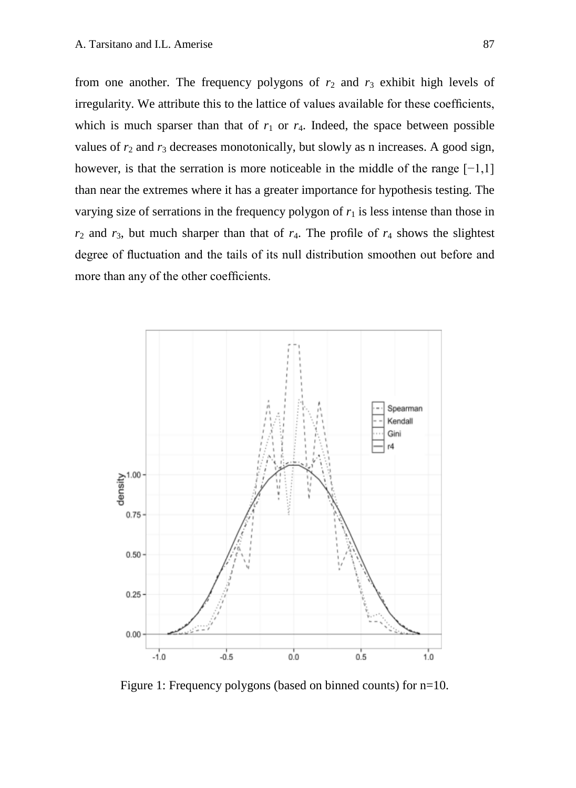from one another. The frequency polygons of  $r_2$  and  $r_3$  exhibit high levels of irregularity. We attribute this to the lattice of values available for these coefficients, which is much sparser than that of  $r_1$  or  $r_4$ . Indeed, the space between possible values of  $r_2$  and  $r_3$  decreases monotonically, but slowly as n increases. A good sign, however, is that the serration is more noticeable in the middle of the range [−1,1] than near the extremes where it has a greater importance for hypothesis testing. The varying size of serrations in the frequency polygon of  $r<sub>1</sub>$  is less intense than those in  $r_2$  and  $r_3$ , but much sharper than that of  $r_4$ . The profile of  $r_4$  shows the slightest degree of fluctuation and the tails of its null distribution smoothen out before and more than any of the other coefficients.



Figure 1: Frequency polygons (based on binned counts) for n=10.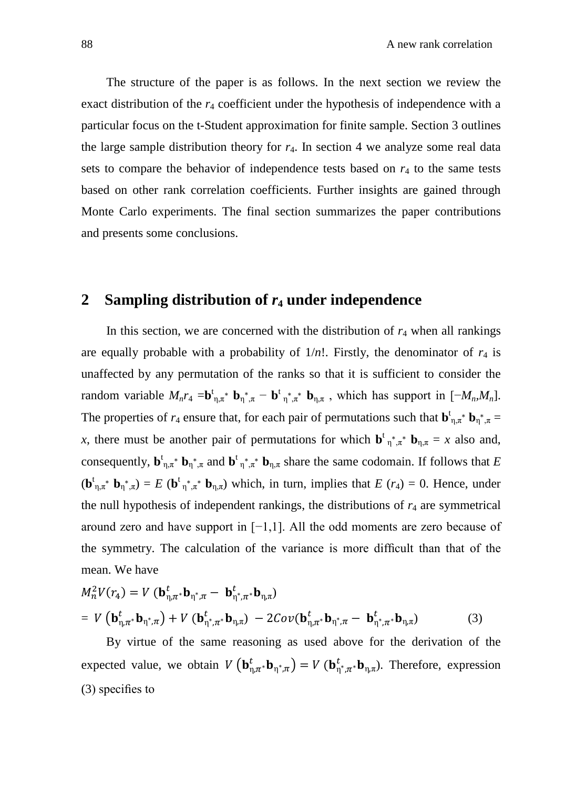The structure of the paper is as follows. In the next section we review the exact distribution of the  $r_4$  coefficient under the hypothesis of independence with a particular focus on the t-Student approximation for finite sample. Section 3 outlines the large sample distribution theory for *r*4. In section 4 we analyze some real data sets to compare the behavior of independence tests based on  $r<sub>4</sub>$  to the same tests based on other rank correlation coefficients. Further insights are gained through Monte Carlo experiments. The final section summarizes the paper contributions and presents some conclusions.

#### **2 Sampling distribution of** *r***<sup>4</sup> under independence**

In this section, we are concerned with the distribution of  $r_4$  when all rankings are equally probable with a probability of  $1/n!$ . Firstly, the denominator of  $r_4$  is unaffected by any permutation of the ranks so that it is sufficient to consider the random variable  $M_n r_4 = \mathbf{b}_{\eta,\pi}^{\dagger} \mathbf{b}_{\eta,\pi} + \mathbf{b}_{\eta,\pi}^{\dagger} \mathbf{b}_{\eta,\pi}$ , which has support in  $[-M_n, M_n]$ . The properties of  $r_4$  ensure that, for each pair of permutations such that  $\mathbf{b}_{\eta,\pi}^{\dagger} \cdot \mathbf{b}_{\eta,\pi}^* =$ *x*, there must be another pair of permutations for which  $\mathbf{b}^{\dagger} \eta^* \pi^* \mathbf{b}_{\eta, \pi} = x$  also and, consequently,  $\mathbf{b}_{\eta,\pi}^{\dagger} \mathbf{b}_{\eta^*,\pi}$  and  $\mathbf{b}_{\eta,\pi}^{\dagger} \mathbf{b}_{\eta,\pi}$  share the same codomain. If follows that *E*  $(\mathbf{b}_{\eta,\pi^*}^{\dagger} \mathbf{b}_{\eta^*,\pi}) = E$   $(\mathbf{b}_{\eta^*,\pi^*}^{\dagger} \mathbf{b}_{\eta,\pi})$  which, in turn, implies that  $E(r_4) = 0$ . Hence, under the null hypothesis of independent rankings, the distributions of  $r<sub>4</sub>$  are symmetrical around zero and have support in [−1,1]. All the odd moments are zero because of the symmetry. The calculation of the variance is more difficult than that of the mean. We have

$$
M_n^2 V(r_4) = V (\mathbf{b}_{\eta,\pi^*}^t \mathbf{b}_{\eta^*,\pi} - \mathbf{b}_{\eta^*,\pi^*}^t \mathbf{b}_{\eta,\pi})
$$
  
=  $V (\mathbf{b}_{\eta,\pi^*}^t \mathbf{b}_{\eta^*,\pi}) + V (\mathbf{b}_{\eta^*,\pi^*}^t \mathbf{b}_{\eta,\pi}) - 2Cov(\mathbf{b}_{\eta,\pi^*}^t \mathbf{b}_{\eta^*,\pi} - \mathbf{b}_{\eta^*,\pi^*}^t \mathbf{b}_{\eta,\pi})$  (3)

 By virtue of the same reasoning as used above for the derivation of the expected value, we obtain  $V(\mathbf{b}_{\eta,\pi^*}^t \mathbf{b}_{\eta^*,\pi}) = V(\mathbf{b}_{\eta^*,\pi^*}^t \mathbf{b}_{\eta,\pi})$ . Therefore, expression (3) specifies to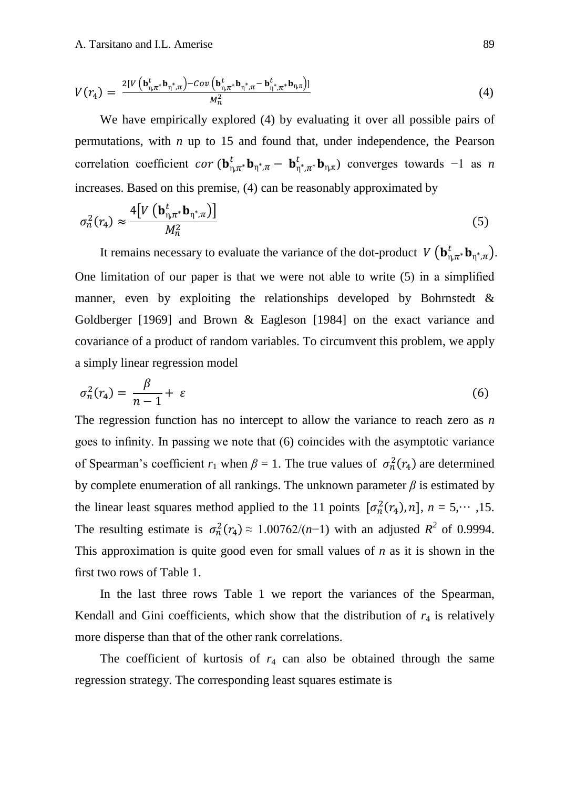$$
V(r_4) = \frac{2[V\left(\mathbf{b}_{\eta,\pi^*}^t \mathbf{b}_{\eta^*,\pi}\right) - Cov\left(\mathbf{b}_{\eta,\pi^*}^t \mathbf{b}_{\eta^*,\pi} - \mathbf{b}_{\eta^*,\pi^*}^t \mathbf{b}_{\eta,\pi}\right)]}{M_n^2}
$$
(4)

We have empirically explored (4) by evaluating it over all possible pairs of permutations, with *n* up to 15 and found that, under independence, the Pearson correlation coefficient  $cor(\mathbf{b}_{n,\pi}^t \cdot \mathbf{b}_{n,\pi} - \mathbf{b}_{n^*,\pi}^t \cdot \mathbf{b}_{n,\pi})$  converges towards  $-1$  as *n* increases. Based on this premise, (4) can be reasonably approximated by

$$
\sigma_n^2(r_4) \approx \frac{4[V(\mathbf{b}_{\eta,\pi^*}^t \mathbf{b}_{\eta^*,\pi})]}{M_n^2}
$$
\n(5)

It remains necessary to evaluate the variance of the dot-product  $V(\mathbf{b}_{\eta,\pi^*}^t \mathbf{b}_{\eta^*,\pi})$ . One limitation of our paper is that we were not able to write (5) in a simplified manner, even by exploiting the relationships developed by Bohrnstedt & Goldberger [1969] and Brown & Eagleson [1984] on the exact variance and covariance of a product of random variables. To circumvent this problem, we apply a simply linear regression model

$$
\sigma_n^2(r_4) = \frac{\beta}{n-1} + \varepsilon \tag{6}
$$

The regression function has no intercept to allow the variance to reach zero as *n* goes to infinity. In passing we note that (6) coincides with the asymptotic variance of Spearman's coefficient  $r_1$  when  $\beta = 1$ . The true values of  $\sigma_n^2(r_4)$  are determined by complete enumeration of all rankings. The unknown parameter  $\beta$  is estimated by the linear least squares method applied to the 11 points  $[\sigma_n^2(r_4), n]$ ,  $n = 5, \dots, 15$ . The resulting estimate is  $\sigma_n^2(r_4) \approx 1.00762/(n-1)$  with an adjusted  $R^2$  of 0.9994. This approximation is quite good even for small values of *n* as it is shown in the first two rows of Table 1.

In the last three rows Table 1 we report the variances of the Spearman, Kendall and Gini coefficients, which show that the distribution of  $r<sub>4</sub>$  is relatively more disperse than that of the other rank correlations.

The coefficient of kurtosis of  $r_4$  can also be obtained through the same regression strategy. The corresponding least squares estimate is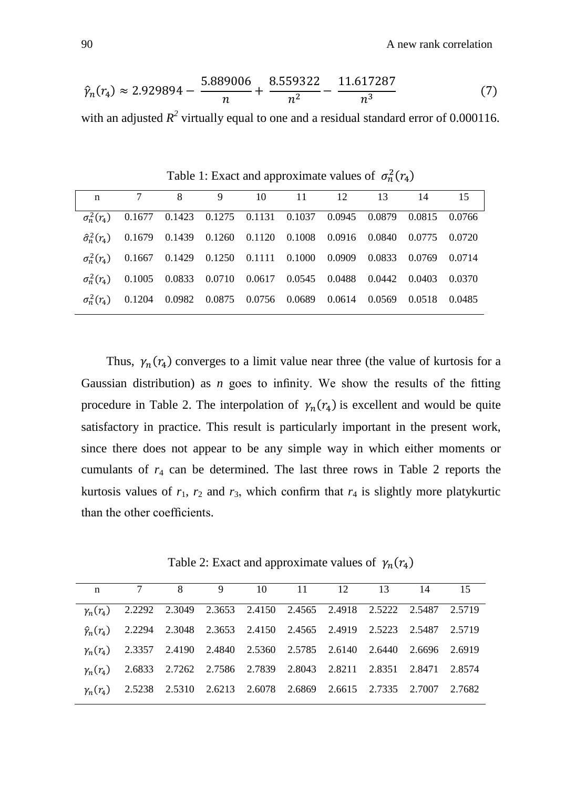$$
\hat{\gamma}_n(r_4) \approx 2.929894 - \frac{5.889006}{n} + \frac{8.559322}{n^2} - \frac{11.617287}{n^3} \tag{7}
$$

with an adjusted  $R^2$  virtually equal to one and a residual standard error of 0.000116.

n 7 8 9 10 11 12 13 14 15  $\overline{\sigma_n^2(r_4)}$  $\frac{2}{n}(r_4)$  0.1677 0.1423 0.1275 0.1131 0.1037 0.0945 0.0879 0.0815 0.0766  $\hat{\sigma}_n^2(r_4)$  $\frac{2}{n}(r_4)$  0.1679 0.1439 0.1260 0.1120 0.1008 0.0916 0.0840 0.0775 0.0720  $\sigma_n^2(r_4)$  $\binom{2}{n}(r_4)$  0.1667 0.1429 0.1250 0.1111 0.1000 0.0909 0.0833 0.0769 0.0714  $\sigma_n^2(r_4)$  $\frac{2}{n}(r_4)$  0.1005 0.0833 0.0710 0.0617 0.0545 0.0488 0.0442 0.0403 0.0370  $\sigma_n^2(r_4)$  $\frac{2}{n}(r_4)$  0.1204 0.0982 0.0875 0.0756 0.0689 0.0614 0.0569 0.0518 0.0485

Table 1: Exact and approximate values of  $\sigma_n^2(r_4)$ 

Thus,  $\gamma_n(r_4)$  converges to a limit value near three (the value of kurtosis for a Gaussian distribution) as *n* goes to infinity. We show the results of the fitting procedure in Table 2. The interpolation of  $\gamma_n(r_4)$  is excellent and would be quite satisfactory in practice. This result is particularly important in the present work, since there does not appear to be any simple way in which either moments or cumulants of *r*<sup>4</sup> can be determined. The last three rows in Table 2 reports the kurtosis values of  $r_1$ ,  $r_2$  and  $r_3$ , which confirm that  $r_4$  is slightly more platykurtic than the other coefficients.

Table 2: Exact and approximate values of  $\gamma_n(r_4)$ 

|  | n 7 8 9 10 11 12 13 14 15                                                            |  |  |  |  |  |
|--|--------------------------------------------------------------------------------------|--|--|--|--|--|
|  | $y_n(r_4)$ 2.2292 2.3049 2.3653 2.4150 2.4565 2.4918 2.5222 2.5487 2.5719            |  |  |  |  |  |
|  | $\hat{\gamma}_n(r_4)$ 2.2294 2.3048 2.3653 2.4150 2.4565 2.4919 2.5223 2.5487 2.5719 |  |  |  |  |  |
|  | $\gamma_n(r_4)$ 2.3357 2.4190 2.4840 2.5360 2.5785 2.6140 2.6440 2.6696 2.6919       |  |  |  |  |  |
|  | $\gamma_n(r_4)$ 2.6833 2.7262 2.7586 2.7839 2.8043 2.8211 2.8351 2.8471 2.8574       |  |  |  |  |  |
|  | $\gamma_n(r_4)$ 2.5238 2.5310 2.6213 2.6078 2.6869 2.6615 2.7335 2.7007 2.7682       |  |  |  |  |  |
|  |                                                                                      |  |  |  |  |  |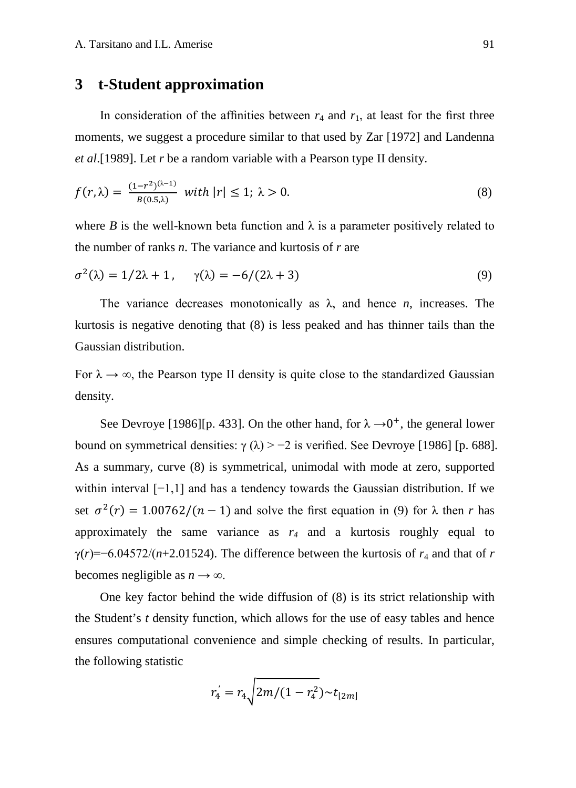## **3 t-Student approximation**

In consideration of the affinities between  $r_4$  and  $r_1$ , at least for the first three moments, we suggest a procedure similar to that used by Zar [1972] and Landenna *et al*.[1989]. Let *r* be a random variable with a Pearson type II density.

$$
f(r,\lambda) = \frac{(1-r^2)^{(\lambda-1)}}{B(0.5\lambda)} \text{ with } |r| \le 1; \ \lambda > 0. \tag{8}
$$

where *B* is the well-known beta function and  $\lambda$  is a parameter positively related to the number of ranks *n*. The variance and kurtosis of *r* are

$$
\sigma^2(\lambda) = 1/2\lambda + 1, \quad \gamma(\lambda) = -6/(2\lambda + 3)
$$
\n(9)

The variance decreases monotonically as  $\lambda$ , and hence *n*, increases. The kurtosis is negative denoting that (8) is less peaked and has thinner tails than the Gaussian distribution.

For  $\lambda \to \infty$ , the Pearson type II density is quite close to the standardized Gaussian density.

See Devroye [1986][p. 433]. On the other hand, for  $\lambda \rightarrow 0^+$ , the general lower bound on symmetrical densities:  $\gamma(\lambda) > -2$  is verified. See Devroye [1986] [p. 688]. As a summary, curve (8) is symmetrical, unimodal with mode at zero, supported within interval [−1,1] and has a tendency towards the Gaussian distribution. If we set  $\sigma^2(r) = 1.00762/(n - 1)$  and solve the first equation in (9) for  $\lambda$  then *r* has approximately the same variance as  $r_4$  and a kurtosis roughly equal to  $\gamma(r)=-6.04572/(n+2.01524)$ . The difference between the kurtosis of  $r_4$  and that of r becomes negligible as  $n \to \infty$ .

One key factor behind the wide diffusion of (8) is its strict relationship with the Student's *t* density function, which allows for the use of easy tables and hence ensures computational convenience and simple checking of results. In particular, the following statistic

$$
r_4 = r_4 \sqrt{2m/(1 - r_4^2)} \sim t_{[2m]}
$$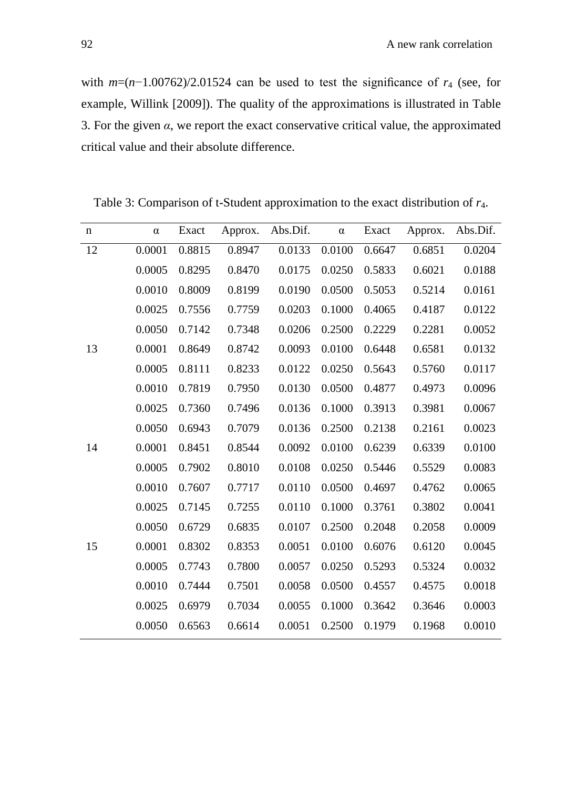with *m*=(*n*−1.00762)/2.01524 can be used to test the significance of *r*<sup>4</sup> (see, for example, Willink [2009]). The quality of the approximations is illustrated in Table 3. For the given  $\alpha$ , we report the exact conservative critical value, the approximated critical value and their absolute difference.

Table 3: Comparison of t-Student approximation to the exact distribution of *r*4.

| n  | $\alpha$ | Exact  | Approx. | Abs.Dif. | $\alpha$ | Exact  | Approx. | Abs.Dif. |
|----|----------|--------|---------|----------|----------|--------|---------|----------|
| 12 | 0.0001   | 0.8815 | 0.8947  | 0.0133   | 0.0100   | 0.6647 | 0.6851  | 0.0204   |
|    | 0.0005   | 0.8295 | 0.8470  | 0.0175   | 0.0250   | 0.5833 | 0.6021  | 0.0188   |
|    | 0.0010   | 0.8009 | 0.8199  | 0.0190   | 0.0500   | 0.5053 | 0.5214  | 0.0161   |
|    | 0.0025   | 0.7556 | 0.7759  | 0.0203   | 0.1000   | 0.4065 | 0.4187  | 0.0122   |
|    | 0.0050   | 0.7142 | 0.7348  | 0.0206   | 0.2500   | 0.2229 | 0.2281  | 0.0052   |
| 13 | 0.0001   | 0.8649 | 0.8742  | 0.0093   | 0.0100   | 0.6448 | 0.6581  | 0.0132   |
|    | 0.0005   | 0.8111 | 0.8233  | 0.0122   | 0.0250   | 0.5643 | 0.5760  | 0.0117   |
|    | 0.0010   | 0.7819 | 0.7950  | 0.0130   | 0.0500   | 0.4877 | 0.4973  | 0.0096   |
|    | 0.0025   | 0.7360 | 0.7496  | 0.0136   | 0.1000   | 0.3913 | 0.3981  | 0.0067   |
|    | 0.0050   | 0.6943 | 0.7079  | 0.0136   | 0.2500   | 0.2138 | 0.2161  | 0.0023   |
| 14 | 0.0001   | 0.8451 | 0.8544  | 0.0092   | 0.0100   | 0.6239 | 0.6339  | 0.0100   |
|    | 0.0005   | 0.7902 | 0.8010  | 0.0108   | 0.0250   | 0.5446 | 0.5529  | 0.0083   |
|    | 0.0010   | 0.7607 | 0.7717  | 0.0110   | 0.0500   | 0.4697 | 0.4762  | 0.0065   |
|    | 0.0025   | 0.7145 | 0.7255  | 0.0110   | 0.1000   | 0.3761 | 0.3802  | 0.0041   |
|    | 0.0050   | 0.6729 | 0.6835  | 0.0107   | 0.2500   | 0.2048 | 0.2058  | 0.0009   |
| 15 | 0.0001   | 0.8302 | 0.8353  | 0.0051   | 0.0100   | 0.6076 | 0.6120  | 0.0045   |
|    | 0.0005   | 0.7743 | 0.7800  | 0.0057   | 0.0250   | 0.5293 | 0.5324  | 0.0032   |
|    | 0.0010   | 0.7444 | 0.7501  | 0.0058   | 0.0500   | 0.4557 | 0.4575  | 0.0018   |
|    | 0.0025   | 0.6979 | 0.7034  | 0.0055   | 0.1000   | 0.3642 | 0.3646  | 0.0003   |
|    | 0.0050   | 0.6563 | 0.6614  | 0.0051   | 0.2500   | 0.1979 | 0.1968  | 0.0010   |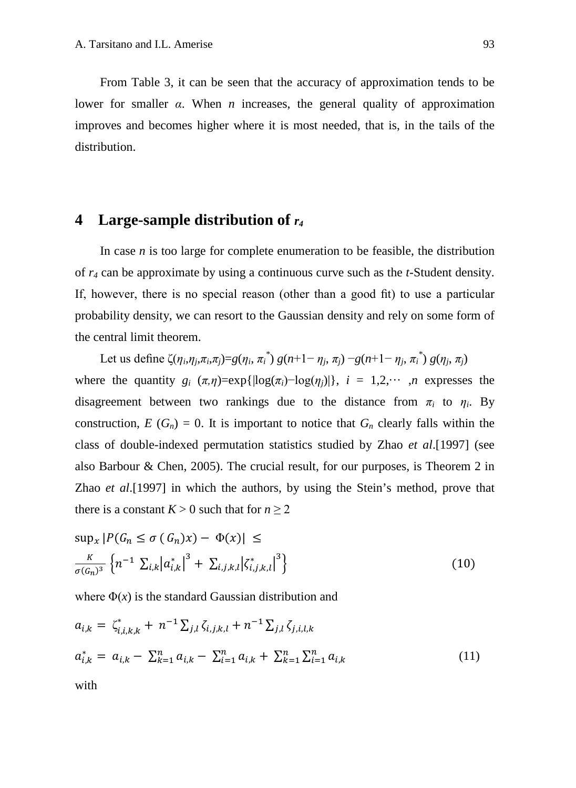From Table 3, it can be seen that the accuracy of approximation tends to be lower for smaller  $\alpha$ . When  $n$  increases, the general quality of approximation improves and becomes higher where it is most needed, that is, in the tails of the distribution.

## **4 Large-sample distribution of** *r4*

In case  $n$  is too large for complete enumeration to be feasible, the distribution of *r4* can be approximate by using a continuous curve such as the *t*-Student density. If, however, there is no special reason (other than a good fit) to use a particular probability density, we can resort to the Gaussian density and rely on some form of the central limit theorem.

Let us define  $\zeta(\eta_i, \eta_j, \pi_i, \pi_j) = g(\eta_i, \pi_i^*) g(n+1-\eta_j, \pi_j) - g(n+1-\eta_j, \pi_i^*) g(\eta_j, \pi_j)$ where the quantity  $g_i$  ( $\pi$ , $\eta$ )=exp{ $|\log(\pi_i) - \log(\eta_i)|$ },  $i = 1,2,...,n$  expresses the disagreement between two rankings due to the distance from  $\pi_i$  to  $\eta_i$ . By construction,  $E(G_n) = 0$ . It is important to notice that  $G_n$  clearly falls within the class of double-indexed permutation statistics studied by Zhao *et al*.[1997] (see also Barbour & Chen, 2005). The crucial result, for our purposes, is Theorem 2 in Zhao *et al*.[1997] in which the authors, by using the Stein's method, prove that there is a constant  $K > 0$  such that for  $n > 2$ 

$$
\sup_{x} |P(G_n \le \sigma(G_n)x) - \Phi(x)| \le
$$
  

$$
\frac{\kappa}{\sigma(G_n)^3} \left\{ n^{-1} \sum_{i,k} |a_{i,k}^*|^3 + \sum_{i,j,k,l} |\zeta_{i,j,k,l}^*|^3 \right\}
$$
 (10)

where  $\Phi(x)$  is the standard Gaussian distribution and

$$
a_{i,k} = \zeta_{i,i,k,k}^* + n^{-1} \sum_{j,l} \zeta_{i,j,k,l} + n^{-1} \sum_{j,l} \zeta_{j,i,l,k}
$$
  
\n
$$
a_{i,k}^* = a_{i,k} - \sum_{k=1}^n a_{i,k} - \sum_{i=1}^n a_{i,k} + \sum_{k=1}^n \sum_{i=1}^n a_{i,k}
$$
\n(11)

with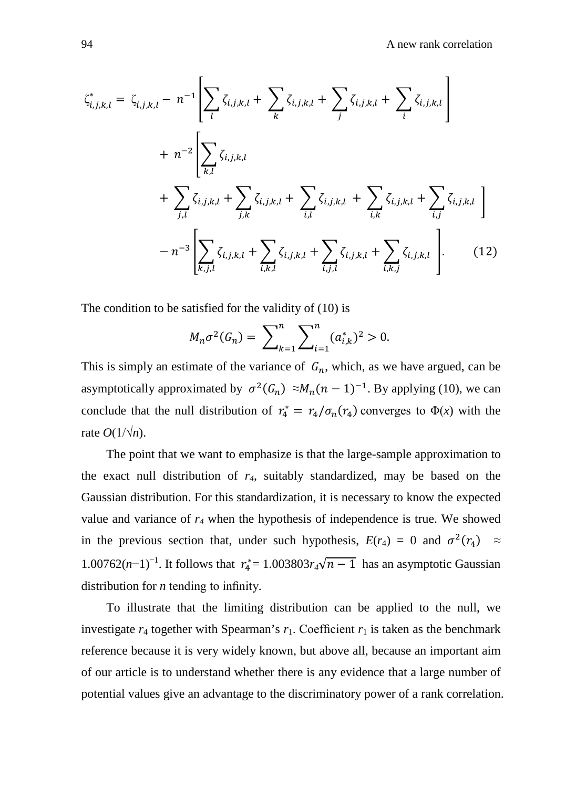$$
\zeta_{i,j,k,l}^{*} = \zeta_{i,j,k,l} - n^{-1} \left[ \sum_{l} \zeta_{i,j,k,l} + \sum_{k} \zeta_{i,j,k,l} + \sum_{j} \zeta_{i,j,k,l} + \sum_{i} \zeta_{i,j,k,l} \right]
$$
  
+ 
$$
n^{-2} \left[ \sum_{k,l} \zeta_{i,j,k,l} + \sum_{j,k} \zeta_{i,j,k,l} + \sum_{i,l} \zeta_{i,j,k,l} + \sum_{i,k} \zeta_{i,j,k,l} + \sum_{i,j} \zeta_{i,j,k,l} \right]
$$
  
- 
$$
n^{-3} \left[ \sum_{k,j,l} \zeta_{i,j,k,l} + \sum_{i,k,l} \zeta_{i,j,k,l} + \sum_{i,j,l} \zeta_{i,j,k,l} + \sum_{i,k,j} \zeta_{i,j,k,l} \right].
$$
 (12)

The condition to be satisfied for the validity of (10) is

$$
M_n \sigma^2(G_n) = \sum_{k=1}^n \sum_{i=1}^n (a_{i,k}^*)^2 > 0.
$$

This is simply an estimate of the variance of  $G_n$ , which, as we have argued, can be asymptotically approximated by  $\sigma^2(G_n) \approx M_n(n-1)^{-1}$ . By applying (10), we can conclude that the null distribution of  $r_4^* = r_4/\sigma_n(r_4)$  converges to  $\Phi(x)$  with the rate  $O(1/\sqrt{n})$ .

The point that we want to emphasize is that the large-sample approximation to the exact null distribution of *r4*, suitably standardized, may be based on the Gaussian distribution. For this standardization, it is necessary to know the expected value and variance of *r4* when the hypothesis of independence is true. We showed in the previous section that, under such hypothesis,  $E(r_4) = 0$  and  $\sigma^2(r_4) \approx$ 1.00762(*n*-1)<sup>-1</sup>. It follows that  $r_4^* = 1.003803r_4\sqrt{n-1}$  has an asymptotic Gaussian distribution for *n* tending to infinity.

To illustrate that the limiting distribution can be applied to the null, we investigate  $r_4$  together with Spearman's  $r_1$ . Coefficient  $r_1$  is taken as the benchmark reference because it is very widely known, but above all, because an important aim of our article is to understand whether there is any evidence that a large number of potential values give an advantage to the discriminatory power of a rank correlation.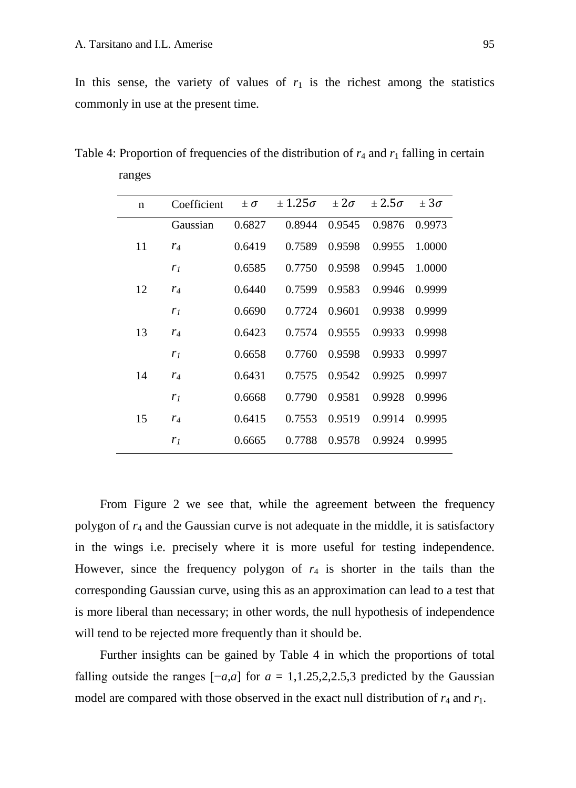ranges

In this sense, the variety of values of  $r_1$  is the richest among the statistics commonly in use at the present time.

| n  | Coefficient    | $\pm \sigma$ | $\pm 1.25\sigma$ | $\pm 2\sigma$ | $\pm 2.5\sigma$ | $\pm 3\sigma$ |
|----|----------------|--------------|------------------|---------------|-----------------|---------------|
|    | Gaussian       | 0.6827       | 0.8944           | 0.9545        | 0.9876          | 0.9973        |
| 11 | $r_4$          | 0.6419       | 0.7589           | 0.9598        | 0.9955          | 1.0000        |
|    | r <sub>1</sub> | 0.6585       | 0.7750           | 0.9598        | 0.9945          | 1.0000        |
| 12 | $r_4$          | 0.6440       | 0.7599           | 0.9583        | 0.9946          | 0.9999        |
|    | r <sub>1</sub> | 0.6690       | 0.7724           | 0.9601        | 0.9938          | 0.9999        |
| 13 | $r_4$          | 0.6423       | 0.7574           | 0.9555        | 0.9933          | 0.9998        |
|    | r <sub>1</sub> | 0.6658       | 0.7760           | 0.9598        | 0.9933          | 0.9997        |
| 14 | $r_4$          | 0.6431       | 0.7575           | 0.9542        | 0.9925          | 0.9997        |
|    | r <sub>1</sub> | 0.6668       | 0.7790           | 0.9581        | 0.9928          | 0.9996        |
| 15 | $r_4$          | 0.6415       | 0.7553           | 0.9519        | 0.9914          | 0.9995        |
|    | r <sub>1</sub> | 0.6665       | 0.7788           | 0.9578        | 0.9924          | 0.9995        |
|    |                |              |                  |               |                 |               |

Table 4: Proportion of frequencies of the distribution of  $r_4$  and  $r_1$  falling in certain

From Figure 2 we see that, while the agreement between the frequency polygon of *r*<sup>4</sup> and the Gaussian curve is not adequate in the middle, it is satisfactory in the wings i.e. precisely where it is more useful for testing independence. However, since the frequency polygon of  $r_4$  is shorter in the tails than the corresponding Gaussian curve, using this as an approximation can lead to a test that is more liberal than necessary; in other words, the null hypothesis of independence will tend to be rejected more frequently than it should be.

Further insights can be gained by Table 4 in which the proportions of total falling outside the ranges  $[-a,a]$  for  $a = 1,1.25,2.2.5,3$  predicted by the Gaussian model are compared with those observed in the exact null distribution of  $r_4$  and  $r_1$ .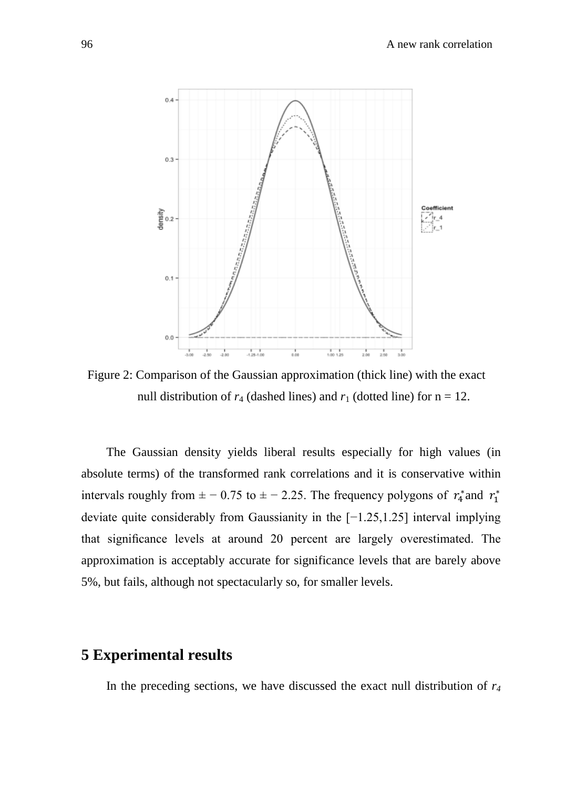

Figure 2: Comparison of the Gaussian approximation (thick line) with the exact null distribution of  $r_4$  (dashed lines) and  $r_1$  (dotted line) for  $n = 12$ .

The Gaussian density yields liberal results especially for high values (in absolute terms) of the transformed rank correlations and it is conservative within intervals roughly from  $\pm -0.75$  to  $\pm -2.25$ . The frequency polygons of  $r_4^*$  and  $r_1^*$ deviate quite considerably from Gaussianity in the [−1.25,1.25] interval implying that significance levels at around 20 percent are largely overestimated. The approximation is acceptably accurate for significance levels that are barely above 5%, but fails, although not spectacularly so, for smaller levels.

#### **5 Experimental results**

In the preceding sections, we have discussed the exact null distribution of *r4*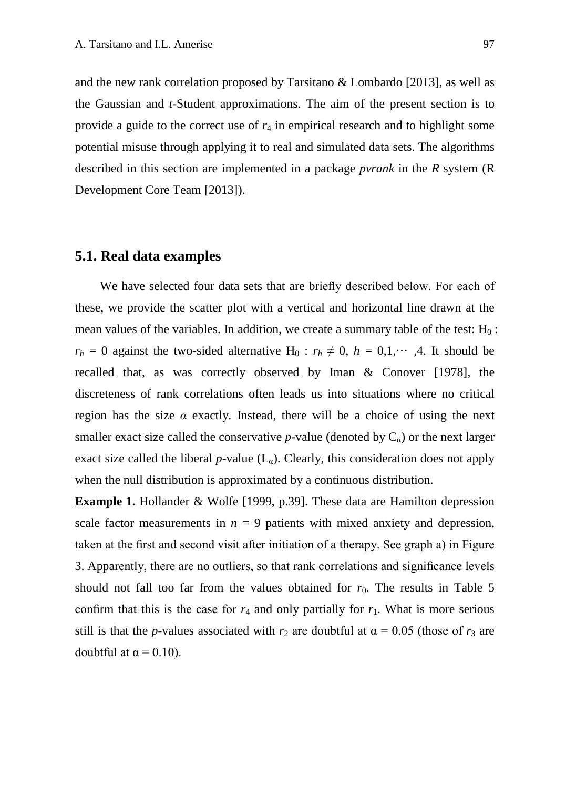and the new rank correlation proposed by Tarsitano  $\&$  Lombardo [2013], as well as the Gaussian and *t*-Student approximations. The aim of the present section is to provide a guide to the correct use of *r*<sup>4</sup> in empirical research and to highlight some potential misuse through applying it to real and simulated data sets. The algorithms described in this section are implemented in a package *pvrank* in the *R* system (R Development Core Team [2013]).

#### **5.1. Real data examples**

We have selected four data sets that are briefly described below. For each of these, we provide the scatter plot with a vertical and horizontal line drawn at the mean values of the variables. In addition, we create a summary table of the test:  $H_0$ :  $r_h = 0$  against the two-sided alternative H<sub>0</sub> :  $r_h \neq 0$ ,  $h = 0,1,...,4$ . It should be recalled that, as was correctly observed by Iman & Conover [1978], the discreteness of rank correlations often leads us into situations where no critical region has the size  $\alpha$  exactly. Instead, there will be a choice of using the next smaller exact size called the conservative  $p$ -value (denoted by  $C_{\alpha}$ ) or the next larger exact size called the liberal  $p$ -value  $(L_{\alpha})$ . Clearly, this consideration does not apply when the null distribution is approximated by a continuous distribution.

**Example 1.** Hollander & Wolfe [1999, p.39]. These data are Hamilton depression scale factor measurements in  $n = 9$  patients with mixed anxiety and depression, taken at the first and second visit after initiation of a therapy. See graph a) in Figure 3. Apparently, there are no outliers, so that rank correlations and significance levels should not fall too far from the values obtained for  $r_0$ . The results in Table 5 confirm that this is the case for  $r_4$  and only partially for  $r_1$ . What is more serious still is that the *p*-values associated with  $r_2$  are doubtful at  $\alpha = 0.05$  (those of  $r_3$  are doubtful at  $\alpha$  = 0.10).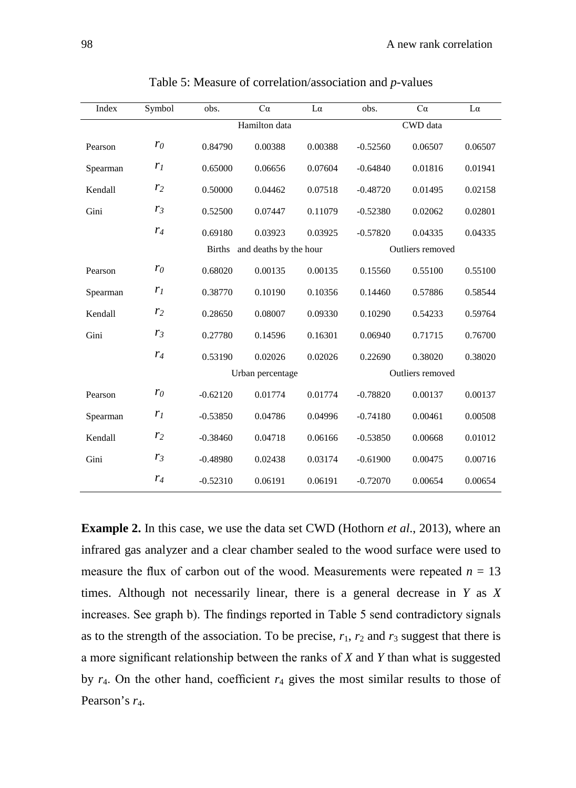| Index    | Symbol         | obs.          | Ca                     | $L\alpha$        |                  | Ca      | $L\alpha$ |  |  |  |
|----------|----------------|---------------|------------------------|------------------|------------------|---------|-----------|--|--|--|
|          |                |               | Hamilton data          | CWD data         |                  |         |           |  |  |  |
| Pearson  | $r_0$          | 0.84790       | 0.00388                | 0.00388          | $-0.52560$       | 0.06507 | 0.06507   |  |  |  |
| Spearman | $r_I$          | 0.65000       | 0.06656                | 0.07604          | $-0.64840$       | 0.01816 | 0.01941   |  |  |  |
| Kendall  | r <sub>2</sub> | 0.50000       | 0.04462                | 0.07518          | $-0.48720$       | 0.01495 | 0.02158   |  |  |  |
| Gini     | r <sub>3</sub> | 0.52500       | 0.07447                | 0.11079          | $-0.52380$       | 0.02062 | 0.02801   |  |  |  |
|          | $r_4$          | 0.69180       | 0.03923                | 0.03925          | $-0.57820$       | 0.04335 | 0.04335   |  |  |  |
|          |                | <b>Births</b> | and deaths by the hour | Outliers removed |                  |         |           |  |  |  |
| Pearson  | $r_0$          | 0.68020       | 0.00135                | 0.00135          | 0.15560          | 0.55100 | 0.55100   |  |  |  |
| Spearman | r <sub>1</sub> | 0.38770       | 0.10190                | 0.10356          | 0.14460          | 0.57886 | 0.58544   |  |  |  |
| Kendall  | r <sub>2</sub> | 0.28650       | 0.08007                | 0.09330          | 0.10290          | 0.54233 | 0.59764   |  |  |  |
| Gini     | $r_3$          | 0.27780       | 0.14596                | 0.16301          | 0.06940          | 0.71715 | 0.76700   |  |  |  |
|          | $r_4$          | 0.53190       | 0.02026                | 0.02026          | 0.22690          | 0.38020 | 0.38020   |  |  |  |
|          |                |               | Urban percentage       |                  | Outliers removed |         |           |  |  |  |
| Pearson  | $r_0$          | $-0.62120$    | 0.01774                | 0.01774          | $-0.78820$       | 0.00137 | 0.00137   |  |  |  |
| Spearman | r <sub>1</sub> | $-0.53850$    | 0.04786                | 0.04996          | $-0.74180$       | 0.00461 | 0.00508   |  |  |  |
| Kendall  | r <sub>2</sub> | $-0.38460$    | 0.04718                | 0.06166          | $-0.53850$       | 0.00668 | 0.01012   |  |  |  |
| Gini     | r <sub>3</sub> | $-0.48980$    | 0.02438                | 0.03174          | $-0.61900$       | 0.00475 | 0.00716   |  |  |  |
|          | $r_4$          | $-0.52310$    | 0.06191                | 0.06191          | $-0.72070$       | 0.00654 | 0.00654   |  |  |  |

Table 5: Measure of correlation/association and *p*-values

**Example 2.** In this case, we use the data set CWD (Hothorn *et al*., 2013), where an infrared gas analyzer and a clear chamber sealed to the wood surface were used to measure the flux of carbon out of the wood. Measurements were repeated  $n = 13$ times. Although not necessarily linear, there is a general decrease in *Y* as *X* increases. See graph b). The findings reported in Table 5 send contradictory signals as to the strength of the association. To be precise,  $r_1$ ,  $r_2$  and  $r_3$  suggest that there is a more significant relationship between the ranks of *X* and *Y* than what is suggested by *r*4. On the other hand, coefficient *r*<sup>4</sup> gives the most similar results to those of Pearson's  $r_4$ .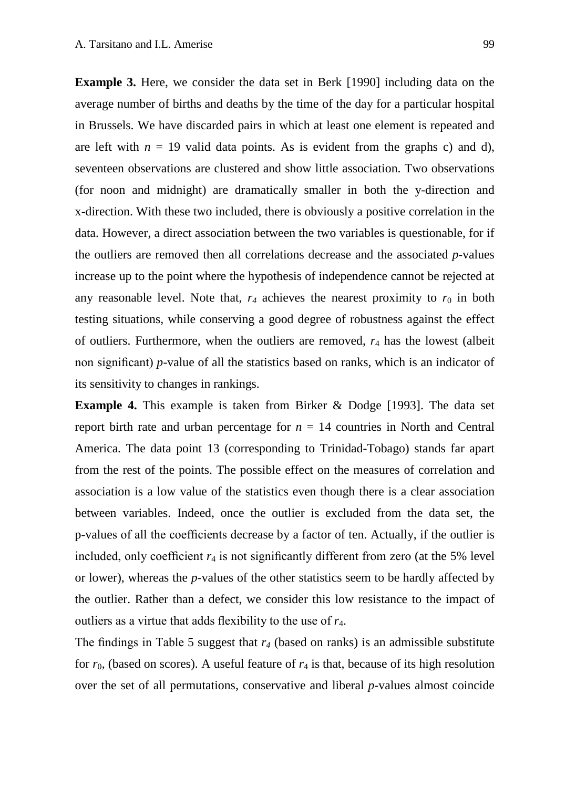**Example 3.** Here, we consider the data set in Berk [1990] including data on the average number of births and deaths by the time of the day for a particular hospital in Brussels. We have discarded pairs in which at least one element is repeated and are left with  $n = 19$  valid data points. As is evident from the graphs c) and d), seventeen observations are clustered and show little association. Two observations (for noon and midnight) are dramatically smaller in both the y-direction and x-direction. With these two included, there is obviously a positive correlation in the data. However, a direct association between the two variables is questionable, for if the outliers are removed then all correlations decrease and the associated *p*-values increase up to the point where the hypothesis of independence cannot be rejected at any reasonable level. Note that,  $r_4$  achieves the nearest proximity to  $r_0$  in both testing situations, while conserving a good degree of robustness against the effect of outliers. Furthermore, when the outliers are removed, *r*<sup>4</sup> has the lowest (albeit non significant) *p*-value of all the statistics based on ranks, which is an indicator of its sensitivity to changes in rankings.

**Example 4.** This example is taken from Birker & Dodge [1993]. The data set report birth rate and urban percentage for  $n = 14$  countries in North and Central America. The data point 13 (corresponding to Trinidad-Tobago) stands far apart from the rest of the points. The possible effect on the measures of correlation and association is a low value of the statistics even though there is a clear association between variables. Indeed, once the outlier is excluded from the data set, the p-values of all the coefficients decrease by a factor of ten. Actually, if the outlier is included, only coefficient  $r_4$  is not significantly different from zero (at the 5% level or lower), whereas the *p*-values of the other statistics seem to be hardly affected by the outlier. Rather than a defect, we consider this low resistance to the impact of outliers as a virtue that adds flexibility to the use of *r*4.

The findings in Table 5 suggest that  $r_4$  (based on ranks) is an admissible substitute for  $r_0$ , (based on scores). A useful feature of  $r_4$  is that, because of its high resolution over the set of all permutations, conservative and liberal *p*-values almost coincide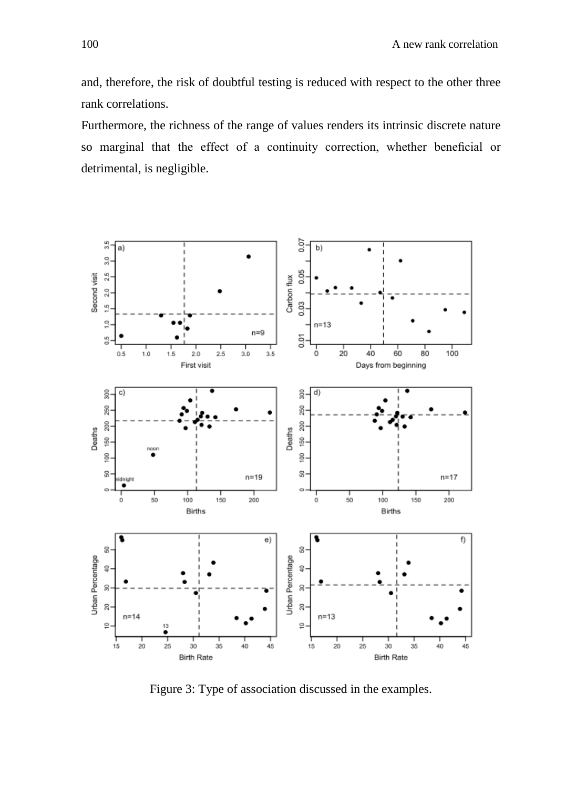and, therefore, the risk of doubtful testing is reduced with respect to the other three rank correlations.

Furthermore, the richness of the range of values renders its intrinsic discrete nature so marginal that the effect of a continuity correction, whether beneficial or detrimental, is negligible.



Figure 3: Type of association discussed in the examples.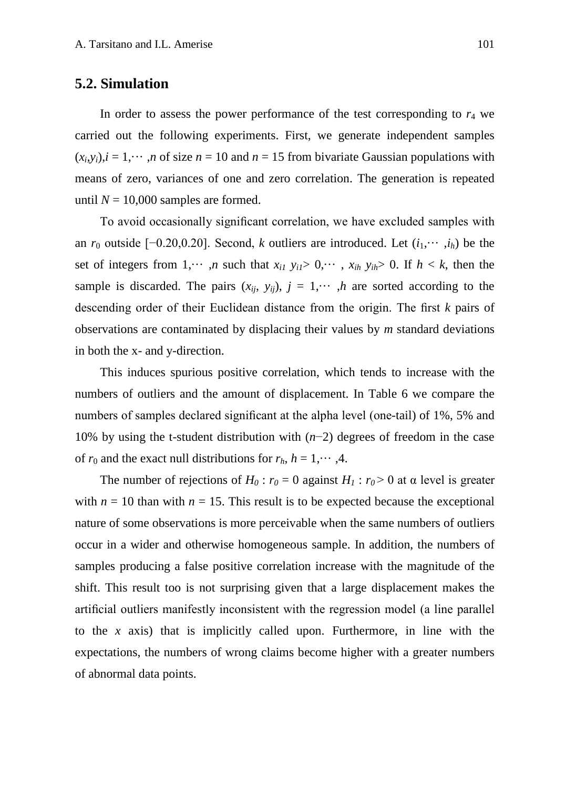#### **5.2. Simulation**

In order to assess the power performance of the test corresponding to  $r<sub>4</sub>$  we carried out the following experiments. First, we generate independent samples  $(x_i, y_i)$ ,  $i = 1, \dots, n$  of size  $n = 10$  and  $n = 15$  from bivariate Gaussian populations with means of zero, variances of one and zero correlation. The generation is repeated until  $N = 10,000$  samples are formed.

To avoid occasionally significant correlation, we have excluded samples with an  $r_0$  outside [−0.20,0.20]. Second, *k* outliers are introduced. Let  $(i_1, \dots, i_h)$  be the set of integers from 1,  $\cdots$  , *n* such that  $x_{i1}$   $y_{i1} > 0$ ,  $\cdots$  ,  $x_{ih}$   $y_{ih} > 0$ . If  $h < k$ , then the sample is discarded. The pairs  $(x_{ij}, y_{ij})$ ,  $j = 1, \dots, h$  are sorted according to the descending order of their Euclidean distance from the origin. The first *k* pairs of observations are contaminated by displacing their values by *m* standard deviations in both the x- and y-direction.

This induces spurious positive correlation, which tends to increase with the numbers of outliers and the amount of displacement. In Table 6 we compare the numbers of samples declared significant at the alpha level (one-tail) of 1%, 5% and 10% by using the t-student distribution with (*n*−2) degrees of freedom in the case of  $r_0$  and the exact null distributions for  $r_h$ ,  $h = 1, \dots, 4$ .

The number of rejections of  $H_0$ :  $r_0 = 0$  against  $H_1$ :  $r_0 > 0$  at  $\alpha$  level is greater with  $n = 10$  than with  $n = 15$ . This result is to be expected because the exceptional nature of some observations is more perceivable when the same numbers of outliers occur in a wider and otherwise homogeneous sample. In addition, the numbers of samples producing a false positive correlation increase with the magnitude of the shift. This result too is not surprising given that a large displacement makes the artificial outliers manifestly inconsistent with the regression model (a line parallel to the *x* axis) that is implicitly called upon. Furthermore, in line with the expectations, the numbers of wrong claims become higher with a greater numbers of abnormal data points.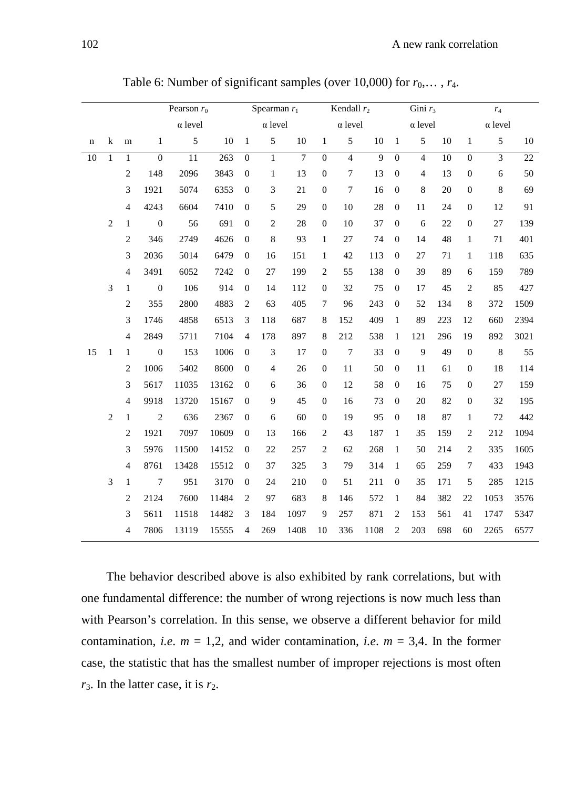|                 |                |                | Pearson $r_0$    |                 |                  | Spearman $r_1$   |                |                | Kendall $r_2$    |                  |                | Gini $r_3$       |                |                 | $r_4$            |                |        |
|-----------------|----------------|----------------|------------------|-----------------|------------------|------------------|----------------|----------------|------------------|------------------|----------------|------------------|----------------|-----------------|------------------|----------------|--------|
|                 |                |                |                  | $\alpha$ level  |                  | $\alpha$ level   |                |                | $\alpha$ level   |                  |                | $\alpha$ level   |                |                 | $\alpha$ level   |                |        |
| n               | k              | m              | $\mathbf{1}$     | 5               | 10               | $\mathbf{1}$     | $\sqrt{5}$     | 10             | $\mathbf{1}$     | 5                | 10             | $\mathbf{1}$     | $\mathfrak{S}$ | 10              | $\mathbf{1}$     | 5              | $10\,$ |
| $\overline{10}$ | $\mathbf{1}$   | $\mathbf{1}$   | $\overline{0}$   | $\overline{11}$ | $\overline{263}$ | $\boldsymbol{0}$ | $\overline{1}$ | $\overline{7}$ | $\boldsymbol{0}$ | $\overline{4}$   | $\overline{9}$ | $\boldsymbol{0}$ | $\overline{4}$ | $\overline{10}$ | $\boldsymbol{0}$ | $\overline{3}$ | 22     |
|                 |                | $\sqrt{2}$     | 148              | 2096            | 3843             | $\boldsymbol{0}$ | $\mathbf{1}$   | 13             | $\boldsymbol{0}$ | $\boldsymbol{7}$ | 13             | $\boldsymbol{0}$ | $\overline{4}$ | 13              | $\boldsymbol{0}$ | $\sqrt{6}$     | 50     |
|                 |                | 3              | 1921             | 5074            | 6353             | $\overline{0}$   | 3              | 21             | $\boldsymbol{0}$ | $\tau$           | 16             | $\boldsymbol{0}$ | 8              | 20              | $\boldsymbol{0}$ | 8              | 69     |
|                 |                | $\overline{4}$ | 4243             | 6604            | 7410             | $\boldsymbol{0}$ | 5              | 29             | $\boldsymbol{0}$ | $10\,$           | 28             | $\boldsymbol{0}$ | 11             | 24              | $\boldsymbol{0}$ | 12             | 91     |
|                 | $\overline{2}$ | $\mathbf{1}$   | $\boldsymbol{0}$ | 56              | 691              | $\mathbf{0}$     | $\mathbf{2}$   | 28             | $\boldsymbol{0}$ | 10               | 37             | $\boldsymbol{0}$ | 6              | 22              | $\boldsymbol{0}$ | 27             | 139    |
|                 |                | $\overline{c}$ | 346              | 2749            | 4626             | $\overline{0}$   | 8              | 93             | $\mathbf{1}$     | 27               | 74             | $\mathbf{0}$     | 14             | 48              | $\mathbf{1}$     | 71             | 401    |
|                 |                | 3              | 2036             | 5014            | 6479             | $\theta$         | 16             | 151            | $\mathbf{1}$     | 42               | 113            | $\mathbf{0}$     | 27             | 71              | $\mathbf{1}$     | 118            | 635    |
|                 |                | $\overline{4}$ | 3491             | 6052            | 7242             | $\overline{0}$   | 27             | 199            | $\mathbf{2}$     | 55               | 138            | $\boldsymbol{0}$ | 39             | 89              | 6                | 159            | 789    |
|                 | 3              | $\mathbf{1}$   | $\boldsymbol{0}$ | 106             | 914              | $\boldsymbol{0}$ | 14             | 112            | $\boldsymbol{0}$ | 32               | 75             | $\boldsymbol{0}$ | 17             | 45              | $\overline{c}$   | 85             | 427    |
|                 |                | $\sqrt{2}$     | 355              | 2800            | 4883             | $\overline{c}$   | 63             | 405            | 7                | 96               | 243            | $\boldsymbol{0}$ | 52             | 134             | $\,$ 8 $\,$      | 372            | 1509   |
|                 |                | 3              | 1746             | 4858            | 6513             | $\mathfrak{Z}$   | 118            | 687            | $\,$ 8 $\,$      | 152              | 409            | $\mathbf{1}$     | 89             | 223             | 12               | 660            | 2394   |
|                 |                | $\overline{4}$ | 2849             | 5711            | 7104             | $\overline{4}$   | 178            | 897            | $\,$ 8 $\,$      | 212              | 538            | $\mathbf{1}$     | 121            | 296             | 19               | 892            | 3021   |
| 15              | $\mathbf{1}$   | $\mathbf{1}$   | $\boldsymbol{0}$ | 153             | 1006             | $\overline{0}$   | 3              | 17             | $\boldsymbol{0}$ | $\boldsymbol{7}$ | 33             | $\boldsymbol{0}$ | 9              | 49              | $\boldsymbol{0}$ | $\,8\,$        | 55     |
|                 |                | $\mathbf{2}$   | 1006             | 5402            | 8600             | $\boldsymbol{0}$ | $\overline{4}$ | 26             | $\boldsymbol{0}$ | 11               | 50             | $\boldsymbol{0}$ | 11             | 61              | $\boldsymbol{0}$ | 18             | 114    |
|                 |                | 3              | 5617             | 11035           | 13162            | $\mathbf{0}$     | 6              | 36             | $\boldsymbol{0}$ | 12               | 58             | $\mathbf{0}$     | 16             | 75              | $\boldsymbol{0}$ | 27             | 159    |
|                 |                | $\overline{4}$ | 9918             | 13720           | 15167            | $\theta$         | 9              | 45             | $\boldsymbol{0}$ | 16               | 73             | $\mathbf{0}$     | 20             | 82              | $\boldsymbol{0}$ | 32             | 195    |
|                 | 2              | $\mathbf{1}$   | $\overline{c}$   | 636             | 2367             | $\overline{0}$   | 6              | 60             | $\overline{0}$   | 19               | 95             | $\boldsymbol{0}$ | 18             | 87              | $\mathbf{1}$     | 72             | 442    |
|                 |                | $\mathbf{2}$   | 1921             | 7097            | 10609            | $\overline{0}$   | 13             | 166            | $\mathbf{2}$     | 43               | 187            | $\mathbf{1}$     | 35             | 159             | $\mathbf{2}$     | 212            | 1094   |
|                 |                | 3              | 5976             | 11500           | 14152            | $\boldsymbol{0}$ | 22             | 257            | $\sqrt{2}$       | 62               | 268            | $\mathbf{1}$     | 50             | 214             | $\sqrt{2}$       | 335            | 1605   |
|                 |                | $\overline{4}$ | 8761             | 13428           | 15512            | $\mathbf{0}$     | 37             | 325            | 3                | 79               | 314            | $\mathbf{1}$     | 65             | 259             | 7                | 433            | 1943   |
|                 | 3              | $\mathbf{1}$   | $\tau$           | 951             | 3170             | $\theta$         | 24             | 210            | $\mathbf{0}$     | 51               | 211            | $\boldsymbol{0}$ | 35             | 171             | 5                | 285            | 1215   |
|                 |                | $\overline{c}$ | 2124             | 7600            | 11484            | $\overline{2}$   | 97             | 683            | $\,$ 8 $\,$      | 146              | 572            | $\mathbf{1}$     | 84             | 382             | 22               | 1053           | 3576   |
|                 |                | 3              | 5611             | 11518           | 14482            | 3                | 184            | 1097           | 9                | 257              | 871            | $\mathbf{2}$     | 153            | 561             | 41               | 1747           | 5347   |
|                 |                | $\overline{4}$ | 7806             | 13119           | 15555            | $\overline{4}$   | 269            | 1408           | 10               | 336              | 1108           | $\overline{c}$   | 203            | 698             | 60               | 2265           | 6577   |

Table 6: Number of significant samples (over 10,000) for  $r_0$ ,...,  $r_4$ .

The behavior described above is also exhibited by rank correlations, but with one fundamental difference: the number of wrong rejections is now much less than with Pearson's correlation. In this sense, we observe a different behavior for mild contamination, *i.e.*  $m = 1,2$ , and wider contamination, *i.e.*  $m = 3,4$ . In the former case, the statistic that has the smallest number of improper rejections is most often  $r_3$ . In the latter case, it is  $r_2$ .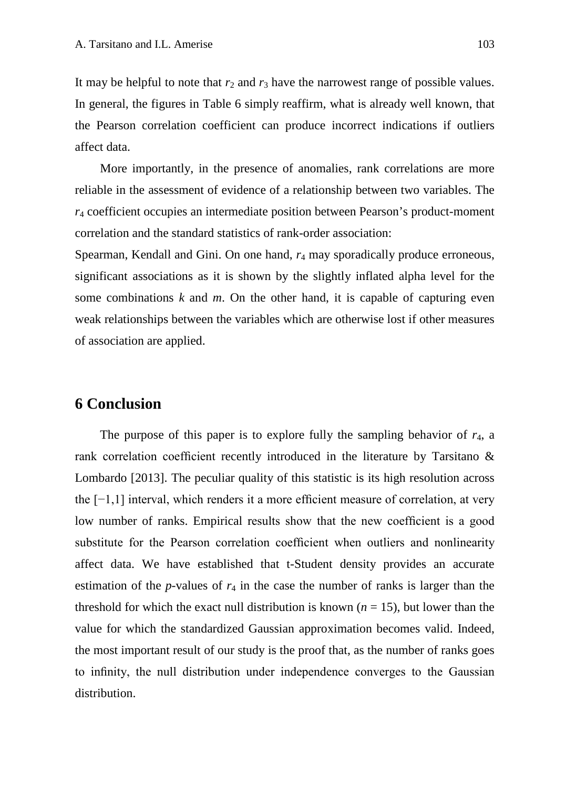It may be helpful to note that  $r_2$  and  $r_3$  have the narrowest range of possible values. In general, the figures in Table 6 simply reaffirm, what is already well known, that the Pearson correlation coefficient can produce incorrect indications if outliers affect data.

More importantly, in the presence of anomalies, rank correlations are more reliable in the assessment of evidence of a relationship between two variables. The *r*<sup>4</sup> coefficient occupies an intermediate position between Pearson's product-moment correlation and the standard statistics of rank-order association:

Spearman, Kendall and Gini. On one hand, *r*<sup>4</sup> may sporadically produce erroneous, significant associations as it is shown by the slightly inflated alpha level for the some combinations  $k$  and  $m$ . On the other hand, it is capable of capturing even weak relationships between the variables which are otherwise lost if other measures of association are applied.

## **6 Conclusion**

The purpose of this paper is to explore fully the sampling behavior of  $r<sub>4</sub>$ , a rank correlation coefficient recently introduced in the literature by Tarsitano & Lombardo [2013]. The peculiar quality of this statistic is its high resolution across the [−1,1] interval, which renders it a more efficient measure of correlation, at very low number of ranks. Empirical results show that the new coefficient is a good substitute for the Pearson correlation coefficient when outliers and nonlinearity affect data. We have established that t-Student density provides an accurate estimation of the  $p$ -values of  $r_4$  in the case the number of ranks is larger than the threshold for which the exact null distribution is known ( $n = 15$ ), but lower than the value for which the standardized Gaussian approximation becomes valid. Indeed, the most important result of our study is the proof that, as the number of ranks goes to infinity, the null distribution under independence converges to the Gaussian distribution.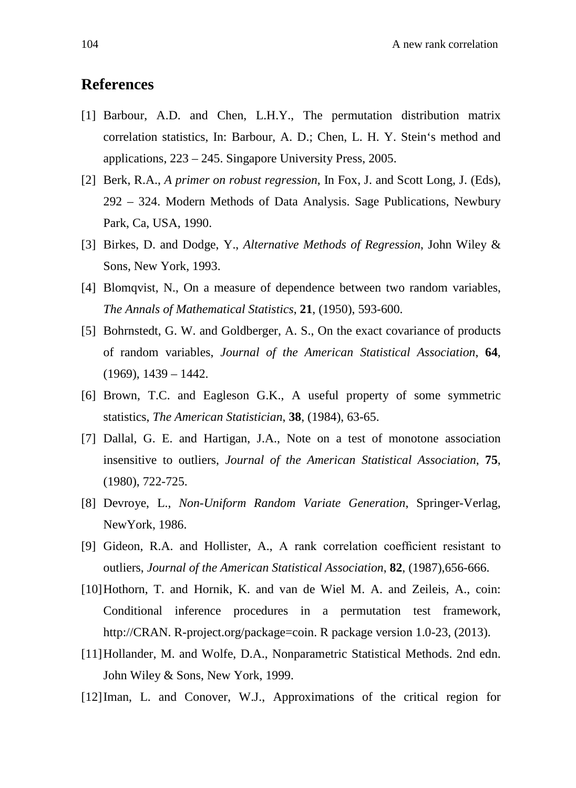## **References**

- [1] Barbour, A.D. and Chen, L.H.Y., The permutation distribution matrix correlation statistics, In: Barbour, A. D.; Chen, L. H. Y. Stein's method and applications, 223 – 245. Singapore University Press, 2005.
- [2] Berk, R.A., *A primer on robust regression*, In Fox, J. and Scott Long, J. (Eds), 292 – 324. Modern Methods of Data Analysis. Sage Publications, Newbury Park, Ca, USA, 1990.
- [3] Birkes, D. and Dodge, Y., *Alternative Methods of Regression*, John Wiley & Sons, New York, 1993.
- [4] Blomqvist, N., On a measure of dependence between two random variables, *The Annals of Mathematical Statistics*, **21**, (1950), 593-600.
- [5] Bohrnstedt, G. W. and Goldberger, A. S., On the exact covariance of products of random variables, *Journal of the American Statistical Association*, **64**,  $(1969)$ ,  $1439 - 1442$ .
- [6] Brown, T.C. and Eagleson G.K., A useful property of some symmetric statistics, *The American Statistician*, **38**, (1984), 63-65.
- [7] Dallal, G. E. and Hartigan, J.A., Note on a test of monotone association insensitive to outliers, *Journal of the American Statistical Association*, **75**, (1980), 722-725.
- [8] Devroye, L., *Non-Uniform Random Variate Generation*, Springer-Verlag, NewYork, 1986.
- [9] Gideon, R.A. and Hollister, A., A rank correlation coefficient resistant to outliers, *Journal of the American Statistical Association*, **82**, (1987),656-666.
- [10]Hothorn, T. and Hornik, K. and van de Wiel M. A. and Zeileis, A., coin: Conditional inference procedures in a permutation test framework, [http://CRAN.](http://cran/) R-project.org/package=coin. R package version 1.0-23, (2013).
- [11]Hollander, M. and Wolfe, D.A., Nonparametric Statistical Methods. 2nd edn. John Wiley & Sons, New York, 1999.
- [12]Iman, L. and Conover, W.J., Approximations of the critical region for